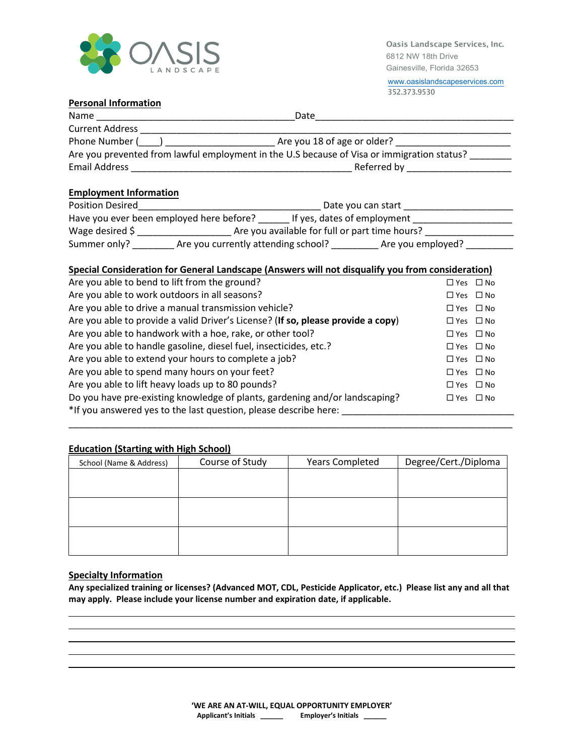

[www.oasislandscapeservices.com](http://www.oasislandscapeservices.com/) 352.373.9530

## **Personal Information**

| Name                   | Date                                                                                       |  |
|------------------------|--------------------------------------------------------------------------------------------|--|
| <b>Current Address</b> |                                                                                            |  |
| Phone Number (         | Are you 18 of age or older?                                                                |  |
|                        | Are you prevented from lawful employment in the U.S because of Visa or immigration status? |  |
| <b>Email Address</b>   | Referred by                                                                                |  |

## **Employment Information**

| <b>Position Desired</b>                  |                                                | Date you can start          |
|------------------------------------------|------------------------------------------------|-----------------------------|
| Have you ever been employed here before? |                                                | If yes, dates of employment |
| Wage desired $\zeta$                     | Are you available for full or part time hours? |                             |
| Summer only?                             | Are you currently attending school?            | Are you employed?           |

## **Special Consideration for General Landscape (Answers will not disqualify you from consideration)**

| Are you able to bend to lift from the ground?                                    | $\Box$ Yes $\Box$ No |  |
|----------------------------------------------------------------------------------|----------------------|--|
| Are you able to work outdoors in all seasons?                                    | $\Box$ Yes $\Box$ No |  |
| Are you able to drive a manual transmission vehicle?                             | $\Box$ Yes $\Box$ No |  |
| Are you able to provide a valid Driver's License? (If so, please provide a copy) | $\Box$ Yes $\Box$ No |  |
| Are you able to handwork with a hoe, rake, or other tool?                        | $\Box$ Yes $\Box$ No |  |
| Are you able to handle gasoline, diesel fuel, insecticides, etc.?                | $\Box$ Yes $\Box$ No |  |
| Are you able to extend your hours to complete a job?                             | $\Box$ Yes $\Box$ No |  |
| Are you able to spend many hours on your feet?                                   | $\Box$ Yes $\Box$ No |  |
| Are you able to lift heavy loads up to 80 pounds?                                | $\Box$ Yes $\Box$ No |  |
| Do you have pre-existing knowledge of plants, gardening and/or landscaping?      | $\Box$ Yes $\Box$ No |  |
| *If you answered yes to the last question, please describe here:                 |                      |  |

# **Education (Starting with High School)**

| School (Name & Address) | Course of Study | <b>Years Completed</b> | Degree/Cert./Diploma |
|-------------------------|-----------------|------------------------|----------------------|
|                         |                 |                        |                      |
|                         |                 |                        |                      |
|                         |                 |                        |                      |
|                         |                 |                        |                      |
|                         |                 |                        |                      |
|                         |                 |                        |                      |

\_\_\_\_\_\_\_\_\_\_\_\_\_\_\_\_\_\_\_\_\_\_\_\_\_\_\_\_\_\_\_\_\_\_\_\_\_\_\_\_\_\_\_\_\_\_\_\_\_\_\_\_\_\_\_\_\_\_\_\_\_\_\_\_\_\_\_\_\_\_\_\_\_\_\_\_\_\_\_\_\_\_\_\_\_

## **Specialty Information**

**Any specialized training or licenses? (Advanced MOT, CDL, Pesticide Applicator, etc.) Please list any and all that may apply. Please include your license number and expiration date, if applicable.**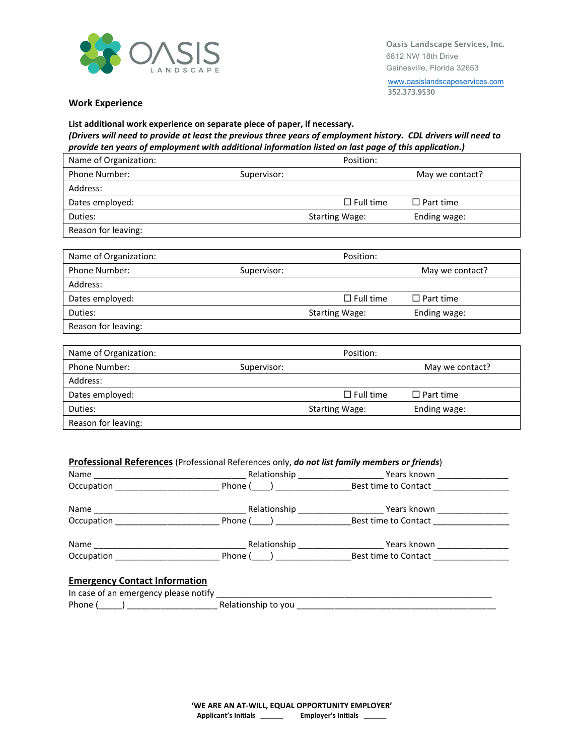

[www.oasislandscapeservices.com](http://www.oasislandscapeservices.com/) 352.373.9530

#### **Work Experience**

## **List additional work experience on separate piece of paper, if necessary.** *(Drivers will need to provide at least the previous three years of employment history. CDL drivers will need to provide ten years of employment with additional information listed on last page of this application.)*

| Name of Organization: |             | Position:             |                  |
|-----------------------|-------------|-----------------------|------------------|
| Phone Number:         | Supervisor: |                       | May we contact?  |
| Address:              |             |                       |                  |
| Dates employed:       |             | $\Box$ Full time      | $\Box$ Part time |
| Duties:               |             | <b>Starting Wage:</b> | Ending wage:     |
| Reason for leaving:   |             |                       |                  |

| Name of Organization: |             | Position:             |                  |
|-----------------------|-------------|-----------------------|------------------|
| <b>Phone Number:</b>  | Supervisor: |                       | May we contact?  |
| Address:              |             |                       |                  |
| Dates employed:       |             | $\square$ Full time   | $\Box$ Part time |
| Duties:               |             | <b>Starting Wage:</b> | Ending wage:     |
| Reason for leaving:   |             |                       |                  |

| Name of Organization: |             | Position:             |                  |
|-----------------------|-------------|-----------------------|------------------|
| <b>Phone Number:</b>  | Supervisor: |                       | May we contact?  |
| Address:              |             |                       |                  |
| Dates employed:       |             | $\Box$ Full time      | $\Box$ Part time |
| Duties:               |             | <b>Starting Wage:</b> | Ending wage:     |
| Reason for leaving:   |             |                       |                  |

## **Professional References** (Professional References only, *do not list family members or friends*)

| Name<br><u> 1980 - Jan Berlin, mars ann an t-Amhraid ann an t-Amhraid ann an t-Amhraid ann an t-Amhraid ann an t-Amhraid ann an t-Amhraid ann an t-Amhraid ann an t-Amhraid ann an t-Amhraid ann an t-Amhraid ann an t-Amhraid ann an t-</u> | Relationship                        | Years known          |  |
|----------------------------------------------------------------------------------------------------------------------------------------------------------------------------------------------------------------------------------------------|-------------------------------------|----------------------|--|
| Occupation                                                                                                                                                                                                                                   | Phone (<br>$\overline{\phantom{a}}$ | Best time to Contact |  |
| Name<br>the contract of the contract of the contract of the contract of the contract of the contract of the contract of                                                                                                                      | Relationship                        | Years known          |  |
| Occupation                                                                                                                                                                                                                                   | Phone ( )                           | Best time to Contact |  |
| Name                                                                                                                                                                                                                                         | Relationship                        | Years known          |  |
| Occupation                                                                                                                                                                                                                                   | Phone (                             | Best time to Contact |  |

### **Emergency Contact Information**

| In case of an emergency please notify |                     |
|---------------------------------------|---------------------|
| Phone (                               | Relationship to you |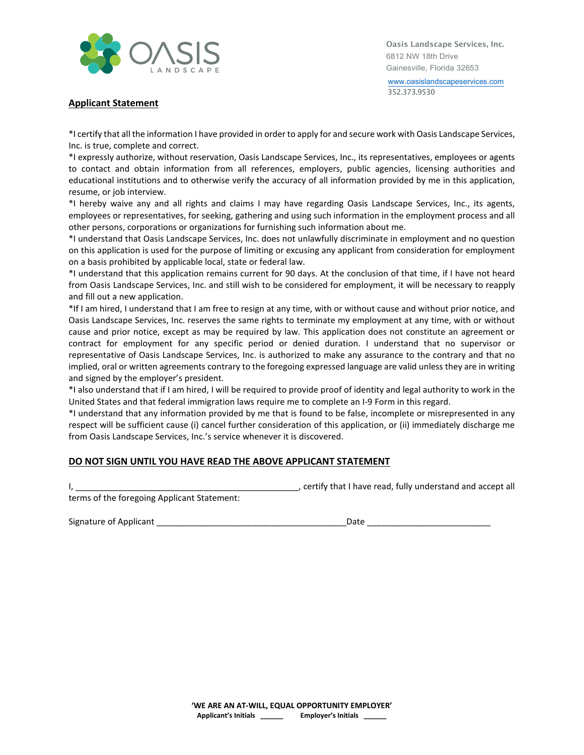

[www.oasislandscapeservices.com](http://www.oasislandscapeservices.com/) 352.373.9530

## **Applicant Statement**

\*I certify that all the information I have provided in order to apply for and secure work with Oasis Landscape Services, Inc. is true, complete and correct.

\*I expressly authorize, without reservation, Oasis Landscape Services, Inc., its representatives, employees or agents to contact and obtain information from all references, employers, public agencies, licensing authorities and educational institutions and to otherwise verify the accuracy of all information provided by me in this application, resume, or job interview.

\*I hereby waive any and all rights and claims I may have regarding Oasis Landscape Services, Inc., its agents, employees or representatives, for seeking, gathering and using such information in the employment process and all other persons, corporations or organizations for furnishing such information about me.

\*I understand that Oasis Landscape Services, Inc. does not unlawfully discriminate in employment and no question on this application is used for the purpose of limiting or excusing any applicant from consideration for employment on a basis prohibited by applicable local, state or federal law.

\*I understand that this application remains current for 90 days. At the conclusion of that time, if I have not heard from Oasis Landscape Services, Inc. and still wish to be considered for employment, it will be necessary to reapply and fill out a new application.

\*If I am hired, I understand that I am free to resign at any time, with or without cause and without prior notice, and Oasis Landscape Services, Inc. reserves the same rights to terminate my employment at any time, with or without cause and prior notice, except as may be required by law. This application does not constitute an agreement or contract for employment for any specific period or denied duration. I understand that no supervisor or representative of Oasis Landscape Services, Inc. is authorized to make any assurance to the contrary and that no implied, oral or written agreements contrary to the foregoing expressed language are valid unless they are in writing and signed by the employer's president.

\*I also understand that if I am hired, I will be required to provide proof of identity and legal authority to work in the United States and that federal immigration laws require me to complete an I-9 Form in this regard.

\*I understand that any information provided by me that is found to be false, incomplete or misrepresented in any respect will be sufficient cause (i) cancel further consideration of this application, or (ii) immediately discharge me from Oasis Landscape Services, Inc.'s service whenever it is discovered.

# **DO NOT SIGN UNTIL YOU HAVE READ THE ABOVE APPLICANT STATEMENT**

I, \_\_\_\_\_\_\_\_\_\_\_\_\_\_\_\_\_\_\_\_\_\_\_\_\_\_\_\_\_\_\_\_\_\_\_\_\_\_\_\_\_\_\_\_\_\_\_, certify that I have read, fully understand and accept all

terms of the foregoing Applicant Statement:

| Signature of Applicant |  |
|------------------------|--|
|------------------------|--|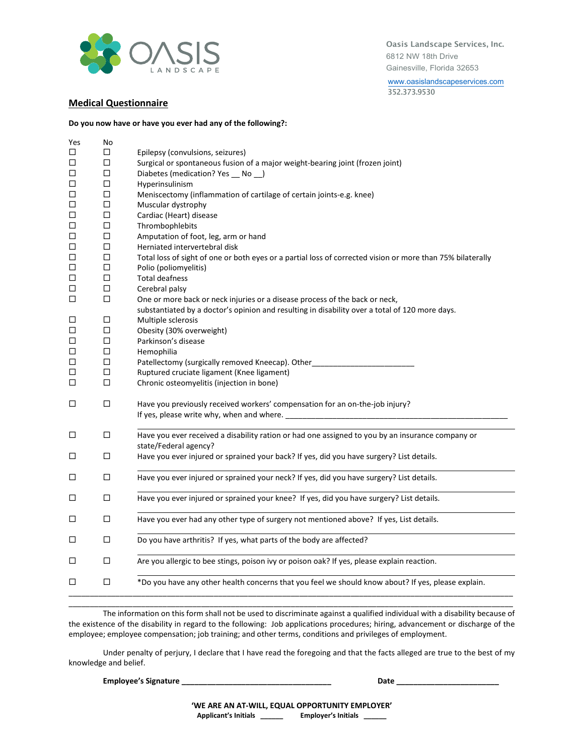

[www.oasislandscapeservices.com](http://www.oasislandscapeservices.com/) 352.373.9530

## **Medical Questionnaire**

#### **Do you now have or have you ever had any of the following?:**

| Yes    | No     |                                                                                                            |
|--------|--------|------------------------------------------------------------------------------------------------------------|
| □      | □      | Epilepsy (convulsions, seizures)                                                                           |
| $\Box$ | □      | Surgical or spontaneous fusion of a major weight-bearing joint (frozen joint)                              |
| $\Box$ | $\Box$ | Diabetes (medication? Yes __ No __)                                                                        |
| $\Box$ | $\Box$ | Hyperinsulinism                                                                                            |
| $\Box$ | $\Box$ | Meniscectomy (inflammation of cartilage of certain joints-e.g. knee)                                       |
| $\Box$ | $\Box$ | Muscular dystrophy                                                                                         |
| $\Box$ | $\Box$ | Cardiac (Heart) disease                                                                                    |
| $\Box$ | □      | Thrombophlebits                                                                                            |
| $\Box$ | $\Box$ | Amputation of foot, leg, arm or hand                                                                       |
| $\Box$ | $\Box$ | Herniated intervertebral disk                                                                              |
| $\Box$ | $\Box$ | Total loss of sight of one or both eyes or a partial loss of corrected vision or more than 75% bilaterally |
| $\Box$ | $\Box$ | Polio (poliomyelitis)                                                                                      |
| □      | □      | <b>Total deafness</b>                                                                                      |
| $\Box$ | $\Box$ | Cerebral palsy                                                                                             |
| □      | □      | One or more back or neck injuries or a disease process of the back or neck,                                |
|        |        | substantiated by a doctor's opinion and resulting in disability over a total of 120 more days.             |
| $\Box$ | □      | Multiple sclerosis                                                                                         |
| □      | □      | Obesity (30% overweight)                                                                                   |
| $\Box$ | $\Box$ | Parkinson's disease                                                                                        |
| □      | $\Box$ | Hemophilia                                                                                                 |
| $\Box$ | □      | Patellectomy (surgically removed Kneecap). Other                                                           |
| $\Box$ | $\Box$ | Ruptured cruciate ligament (Knee ligament)                                                                 |
| $\Box$ | $\Box$ | Chronic osteomyelitis (injection in bone)                                                                  |
|        |        |                                                                                                            |
| □      | □      | Have you previously received workers' compensation for an on-the-job injury?                               |
|        |        |                                                                                                            |
| □      | $\Box$ | Have you ever received a disability ration or had one assigned to you by an insurance company or           |
|        |        | state/Federal agency?                                                                                      |
| $\Box$ | $\Box$ | Have you ever injured or sprained your back? If yes, did you have surgery? List details.                   |
|        |        |                                                                                                            |
| □      | □      | Have you ever injured or sprained your neck? If yes, did you have surgery? List details.                   |
|        |        |                                                                                                            |
| □      | $\Box$ | Have you ever injured or sprained your knee? If yes, did you have surgery? List details.                   |
|        |        |                                                                                                            |
| □      | □      | Have you ever had any other type of surgery not mentioned above? If yes, List details.                     |
| □      | □      | Do you have arthritis? If yes, what parts of the body are affected?                                        |
|        |        |                                                                                                            |
| □      | □      | Are you allergic to bee stings, poison ivy or poison oak? If yes, please explain reaction.                 |
| □      | □      | *Do you have any other health concerns that you feel we should know about? If yes, please explain.         |
|        |        |                                                                                                            |
|        |        |                                                                                                            |

The information on this form shall not be used to discriminate against a qualified individual with a disability because of the existence of the disability in regard to the following: Job applications procedures; hiring, advancement or discharge of the employee; employee compensation; job training; and other terms, conditions and privileges of employment.

\_\_\_\_\_\_\_\_\_\_\_\_\_\_\_\_\_\_\_\_\_\_\_\_\_\_\_\_\_\_\_\_\_\_\_\_\_\_\_\_\_\_\_\_\_\_\_\_\_\_\_\_\_\_\_\_\_\_\_\_\_\_\_\_\_\_\_\_\_\_\_\_\_\_\_\_\_\_\_\_\_\_\_\_\_\_\_\_\_\_\_\_\_\_\_\_\_\_\_\_\_\_\_\_

Under penalty of perjury, I declare that I have read the foregoing and that the facts alleged are true to the best of my knowledge and belief.

**Employee's Signature \_\_\_\_\_\_\_\_\_\_\_\_\_\_\_\_\_\_\_\_\_\_\_\_\_\_\_\_\_\_\_\_\_\_\_ Date \_\_\_\_\_\_\_\_\_\_\_\_\_\_\_\_\_\_\_\_\_\_\_\_**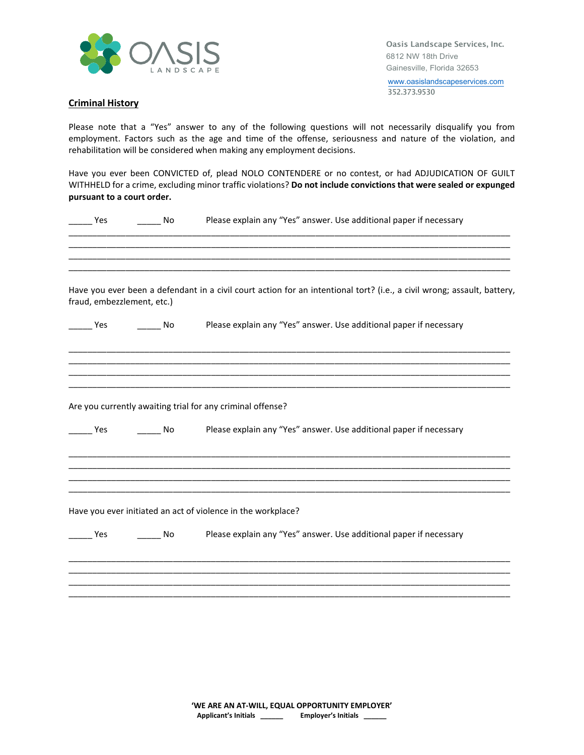

[www.oasislandscapeservices.com](http://www.oasislandscapeservices.com/) 352.373.9530

## **Criminal History**

Please note that a "Yes" answer to any of the following questions will not necessarily disqualify you from employment. Factors such as the age and time of the offense, seriousness and nature of the violation, and rehabilitation will be considered when making any employment decisions.

Have you ever been CONVICTED of, plead NOLO CONTENDERE or no contest, or had ADJUDICATION OF GUILT WITHHELD for a crime, excluding minor traffic violations? **Do not include convictions that were sealed or expunged pursuant to a court order.**

| Yes                        | No        | Please explain any "Yes" answer. Use additional paper if necessary                                                      |
|----------------------------|-----------|-------------------------------------------------------------------------------------------------------------------------|
|                            |           |                                                                                                                         |
| fraud, embezzlement, etc.) |           | Have you ever been a defendant in a civil court action for an intentional tort? (i.e., a civil wrong; assault, battery, |
| Yes                        | <b>No</b> | Please explain any "Yes" answer. Use additional paper if necessary                                                      |
|                            |           |                                                                                                                         |
|                            |           | Are you currently awaiting trial for any criminal offense?                                                              |
| Yes                        | <b>No</b> | Please explain any "Yes" answer. Use additional paper if necessary                                                      |
|                            |           |                                                                                                                         |
|                            |           | Have you ever initiated an act of violence in the workplace?                                                            |
| Yes                        | No.       | Please explain any "Yes" answer. Use additional paper if necessary                                                      |
|                            |           |                                                                                                                         |
|                            |           |                                                                                                                         |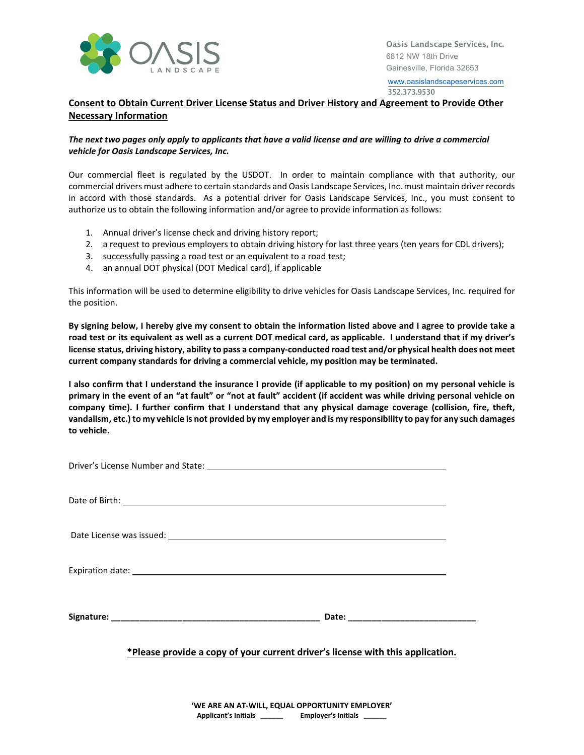

[www.oasislandscapeservices.com](http://www.oasislandscapeservices.com/) 352.373.9530

**Consent to Obtain Current Driver License Status and Driver History and Agreement to Provide Other Necessary Information**

## *The next two pages only apply to applicants that have a valid license and are willing to drive a commercial vehicle for Oasis Landscape Services, Inc.*

Our commercial fleet is regulated by the USDOT. In order to maintain compliance with that authority, our commercial drivers must adhere to certain standards and Oasis Landscape Services, Inc. must maintain driver records in accord with those standards. As a potential driver for Oasis Landscape Services, Inc., you must consent to authorize us to obtain the following information and/or agree to provide information as follows:

- 1. Annual driver's license check and driving history report;
- 2. a request to previous employers to obtain driving history for last three years (ten years for CDL drivers);
- 3. successfully passing a road test or an equivalent to a road test;
- 4. an annual DOT physical (DOT Medical card), if applicable

This information will be used to determine eligibility to drive vehicles for Oasis Landscape Services, Inc. required for the position.

**By signing below, I hereby give my consent to obtain the information listed above and I agree to provide take a road test or its equivalent as well as a current DOT medical card, as applicable. I understand that if my driver's license status, driving history, ability to pass a company-conducted road test and/or physical health does not meet current company standards for driving a commercial vehicle, my position may be terminated.**

**I also confirm that I understand the insurance I provide (if applicable to my position) on my personal vehicle is primary in the event of an "at fault" or "not at fault" accident (if accident was while driving personal vehicle on company time). I further confirm that I understand that any physical damage coverage (collision, fire, theft, vandalism, etc.) to my vehicle is not provided by my employer and is my responsibility to pay for any such damages to vehicle.**

**\*Please provide a copy of your current driver's license with this application.**